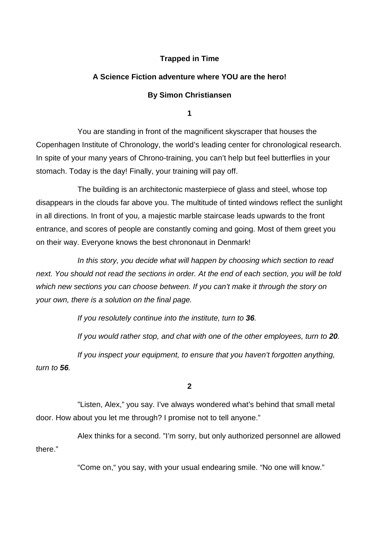# **Trapped in Time**

# **A Science Fiction adventure where YOU are the hero!**

# **By Simon Christiansen**

**1** 

You are standing in front of the magnificent skyscraper that houses the Copenhagen Institute of Chronology, the world's leading center for chronological research. In spite of your many years of Chrono-training, you can't help but feel butterflies in your stomach. Today is the day! Finally, your training will pay off.

The building is an architectonic masterpiece of glass and steel, whose top disappears in the clouds far above you. The multitude of tinted windows reflect the sunlight in all directions. In front of you, a majestic marble staircase leads upwards to the front entrance, and scores of people are constantly coming and going. Most of them greet you on their way. Everyone knows the best chrononaut in Denmark!

In this story, you decide what will happen by choosing which section to read next. You should not read the sections in order. At the end of each section, you will be told which new sections you can choose between. If you can't make it through the story on your own, there is a solution on the final page.

If you resolutely continue into the institute, turn to **36**.

If you would rather stop, and chat with one of the other employees, turn to **20**.

If you inspect your equipment, to ensure that you haven't forgotten anything, turn to **56**.

**2** 

"Listen, Alex," you say. I've always wondered what's behind that small metal door. How about you let me through? I promise not to tell anyone."

Alex thinks for a second. "I'm sorry, but only authorized personnel are allowed there."

"Come on," you say, with your usual endearing smile. "No one will know."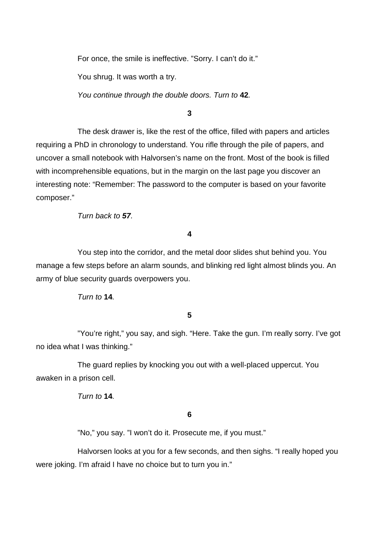For once, the smile is ineffective. "Sorry. I can't do it."

You shrug. It was worth a try.

You continue through the double doors. Turn to **42**.

## **3**

 The desk drawer is, like the rest of the office, filled with papers and articles requiring a PhD in chronology to understand. You rifle through the pile of papers, and uncover a small notebook with Halvorsen's name on the front. Most of the book is filled with incomprehensible equations, but in the margin on the last page you discover an interesting note: "Remember: The password to the computer is based on your favorite composer."

Turn back to **57**.

#### **4**

You step into the corridor, and the metal door slides shut behind you. You manage a few steps before an alarm sounds, and blinking red light almost blinds you. An army of blue security guards overpowers you.

Turn to **14**.

# **5**

"You're right," you say, and sigh. "Here. Take the gun. I'm really sorry. I've got no idea what I was thinking."

 The guard replies by knocking you out with a well-placed uppercut. You awaken in a prison cell.

Turn to **14**.

# **6**

"No," you say. "I won't do it. Prosecute me, if you must."

Halvorsen looks at you for a few seconds, and then sighs. "I really hoped you were joking. I'm afraid I have no choice but to turn you in."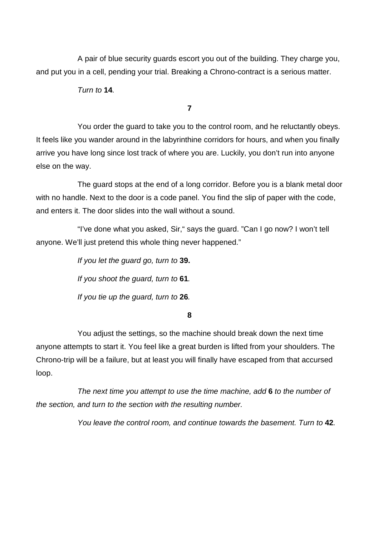A pair of blue security guards escort you out of the building. They charge you, and put you in a cell, pending your trial. Breaking a Chrono-contract is a serious matter.

Turn to **14**.

**7** 

You order the guard to take you to the control room, and he reluctantly obeys. It feels like you wander around in the labyrinthine corridors for hours, and when you finally arrive you have long since lost track of where you are. Luckily, you don't run into anyone else on the way.

The guard stops at the end of a long corridor. Before you is a blank metal door with no handle. Next to the door is a code panel. You find the slip of paper with the code, and enters it. The door slides into the wall without a sound.

"I've done what you asked, Sir," says the guard. "Can I go now? I won't tell anyone. We'll just pretend this whole thing never happened."

> If you let the guard go, turn to **39.** If you shoot the guard, turn to **61**. If you tie up the guard, turn to **26**.

> > **8**

You adjust the settings, so the machine should break down the next time anyone attempts to start it. You feel like a great burden is lifted from your shoulders. The Chrono-trip will be a failure, but at least you will finally have escaped from that accursed loop.

The next time you attempt to use the time machine, add **6** to the number of the section, and turn to the section with the resulting number.

You leave the control room, and continue towards the basement. Turn to **42**.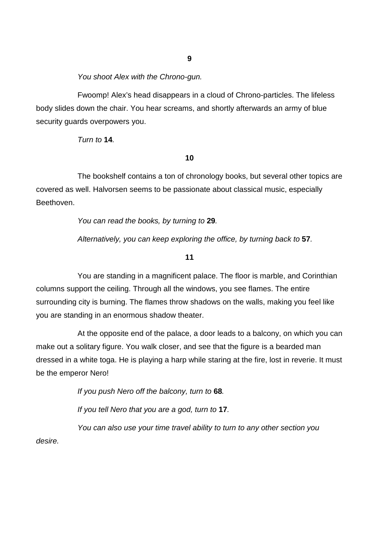You shoot Alex with the Chrono-gun.

Fwoomp! Alex's head disappears in a cloud of Chrono-particles. The lifeless body slides down the chair. You hear screams, and shortly afterwards an army of blue security guards overpowers you.

Turn to **14**.

**10** 

The bookshelf contains a ton of chronology books, but several other topics are covered as well. Halvorsen seems to be passionate about classical music, especially Beethoven.

You can read the books, by turning to **29**.

Alternatively, you can keep exploring the office, by turning back to **57**.

**11** 

You are standing in a magnificent palace. The floor is marble, and Corinthian columns support the ceiling. Through all the windows, you see flames. The entire surrounding city is burning. The flames throw shadows on the walls, making you feel like you are standing in an enormous shadow theater.

At the opposite end of the palace, a door leads to a balcony, on which you can make out a solitary figure. You walk closer, and see that the figure is a bearded man dressed in a white toga. He is playing a harp while staring at the fire, lost in reverie. It must be the emperor Nero!

If you push Nero off the balcony, turn to **68**.

If you tell Nero that you are a god, turn to **17**.

 You can also use your time travel ability to turn to any other section you desire.

**9**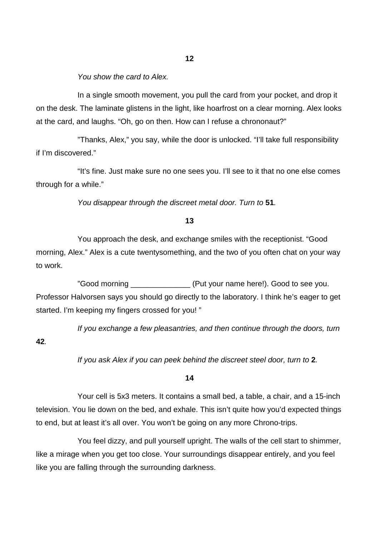You show the card to Alex.

In a single smooth movement, you pull the card from your pocket, and drop it on the desk. The laminate glistens in the light, like hoarfrost on a clear morning. Alex looks at the card, and laughs. "Oh, go on then. How can I refuse a chrononaut?"

 "Thanks, Alex," you say, while the door is unlocked. "I'll take full responsibility if I'm discovered."

 "It's fine. Just make sure no one sees you. I'll see to it that no one else comes through for a while."

You disappear through the discreet metal door. Turn to **51**.

# **13**

You approach the desk, and exchange smiles with the receptionist. "Good morning, Alex." Alex is a cute twentysomething, and the two of you often chat on your way to work.

"Good morning The Cood of the Cood of the Cood of the Cood to see you. Professor Halvorsen says you should go directly to the laboratory. I think he's eager to get started. I'm keeping my fingers crossed for you! "

If you exchange a few pleasantries, and then continue through the doors, turn

**42**.

If you ask Alex if you can peek behind the discreet steel door, turn to **2**.

#### **14**

Your cell is 5x3 meters. It contains a small bed, a table, a chair, and a 15-inch television. You lie down on the bed, and exhale. This isn't quite how you'd expected things to end, but at least it's all over. You won't be going on any more Chrono-trips.

You feel dizzy, and pull yourself upright. The walls of the cell start to shimmer, like a mirage when you get too close. Your surroundings disappear entirely, and you feel like you are falling through the surrounding darkness.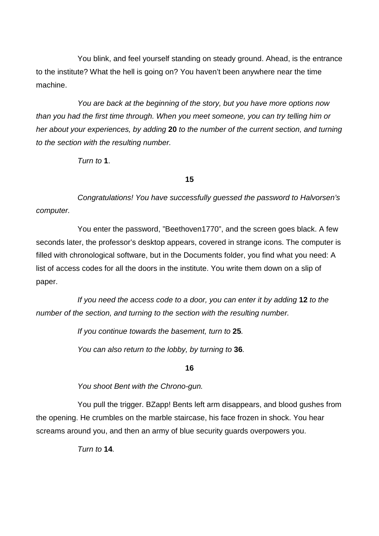You blink, and feel yourself standing on steady ground. Ahead, is the entrance to the institute? What the hell is going on? You haven't been anywhere near the time machine.

 You are back at the beginning of the story, but you have more options now than you had the first time through. When you meet someone, you can try telling him or her about your experiences, by adding **20** to the number of the current section, and turning to the section with the resulting number.

Turn to **1**.

**15** 

Congratulations! You have successfully guessed the password to Halvorsen's computer.

You enter the password, "Beethoven1770", and the screen goes black. A few seconds later, the professor's desktop appears, covered in strange icons. The computer is filled with chronological software, but in the Documents folder, you find what you need: A list of access codes for all the doors in the institute. You write them down on a slip of paper.

If you need the access code to a door, you can enter it by adding **12** to the number of the section, and turning to the section with the resulting number.

If you continue towards the basement, turn to **25**.

You can also return to the lobby, by turning to **36**.

**16** 

You shoot Bent with the Chrono-gun.

 You pull the trigger. BZapp! Bents left arm disappears, and blood gushes from the opening. He crumbles on the marble staircase, his face frozen in shock. You hear screams around you, and then an army of blue security guards overpowers you.

Turn to **14**.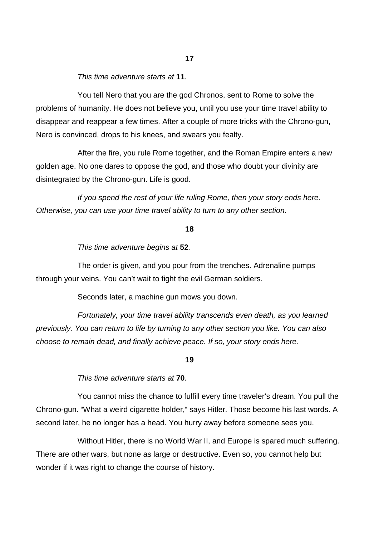# This time adventure starts at **11**.

You tell Nero that you are the god Chronos, sent to Rome to solve the problems of humanity. He does not believe you, until you use your time travel ability to disappear and reappear a few times. After a couple of more tricks with the Chrono-gun, Nero is convinced, drops to his knees, and swears you fealty.

After the fire, you rule Rome together, and the Roman Empire enters a new golden age. No one dares to oppose the god, and those who doubt your divinity are disintegrated by the Chrono-gun. Life is good.

If you spend the rest of your life ruling Rome, then your story ends here. Otherwise, you can use your time travel ability to turn to any other section.

#### **18**

This time adventure begins at **52**.

The order is given, and you pour from the trenches. Adrenaline pumps through your veins. You can't wait to fight the evil German soldiers.

Seconds later, a machine gun mows you down.

Fortunately, your time travel ability transcends even death, as you learned previously. You can return to life by turning to any other section you like. You can also choose to remain dead, and finally achieve peace. If so, your story ends here.

#### **19**

This time adventure starts at **70**.

You cannot miss the chance to fulfill every time traveler's dream. You pull the Chrono-gun. "What a weird cigarette holder," says Hitler. Those become his last words. A second later, he no longer has a head. You hurry away before someone sees you.

Without Hitler, there is no World War II, and Europe is spared much suffering. There are other wars, but none as large or destructive. Even so, you cannot help but wonder if it was right to change the course of history.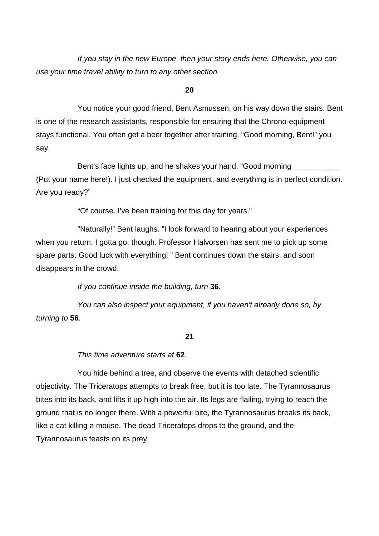If you stay in the new Europe, then your story ends here. Otherwise, you can use your time travel ability to turn to any other section.

# **20**

You notice your good friend, Bent Asmussen, on his way down the stairs. Bent is one of the research assistants, responsible for ensuring that the Chrono-equipment stays functional. You often get a beer together after training. "Good morning, Bent!" you say.

Bent's face lights up, and he shakes your hand. "Good morning (Put your name here!). I just checked the equipment, and everything is in perfect condition. Are you ready?"

"Of course. I've been training for this day for years."

 "Naturally!" Bent laughs. "I look forward to hearing about your experiences when you return. I gotta go, though. Professor Halvorsen has sent me to pick up some spare parts. Good luck with everything! " Bent continues down the stairs, and soon disappears in the crowd.

If you continue inside the building, turn **36**.

 You can also inspect your equipment, if you haven't already done so, by turning to **56**.

# **21**

This time adventure starts at **62**.

 You hide behind a tree, and observe the events with detached scientific objectivity. The Triceratops attempts to break free, but it is too late. The Tyrannosaurus bites into its back, and lifts it up high into the air. Its legs are flailing, trying to reach the ground that is no longer there. With a powerful bite, the Tyrannosaurus breaks its back, like a cat killing a mouse. The dead Triceratops drops to the ground, and the Tyrannosaurus feasts on its prey.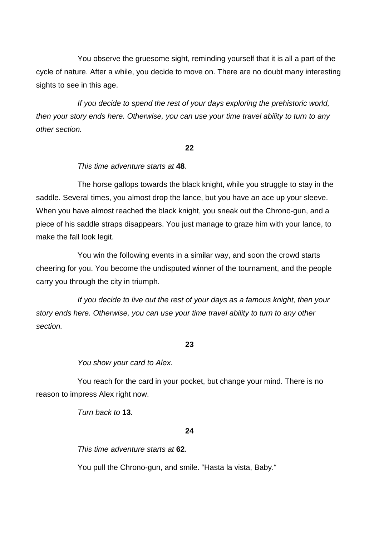You observe the gruesome sight, reminding yourself that it is all a part of the cycle of nature. After a while, you decide to move on. There are no doubt many interesting sights to see in this age.

 If you decide to spend the rest of your days exploring the prehistoric world, then your story ends here. Otherwise, you can use your time travel ability to turn to any other section.

#### **22**

# This time adventure starts at **48**.

The horse gallops towards the black knight, while you struggle to stay in the saddle. Several times, you almost drop the lance, but you have an ace up your sleeve. When you have almost reached the black knight, you sneak out the Chrono-gun, and a piece of his saddle straps disappears. You just manage to graze him with your lance, to make the fall look legit.

 You win the following events in a similar way, and soon the crowd starts cheering for you. You become the undisputed winner of the tournament, and the people carry you through the city in triumph.

If you decide to live out the rest of your days as a famous knight, then your story ends here. Otherwise, you can use your time travel ability to turn to any other section.

#### **23**

You show your card to Alex.

You reach for the card in your pocket, but change your mind. There is no reason to impress Alex right now.

Turn back to **13**.

#### **24**

This time adventure starts at **62**.

You pull the Chrono-gun, and smile. "Hasta la vista, Baby."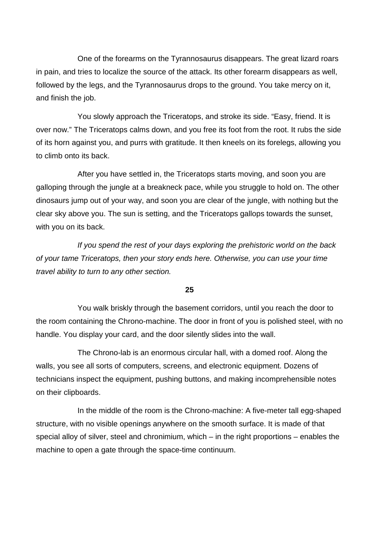One of the forearms on the Tyrannosaurus disappears. The great lizard roars in pain, and tries to localize the source of the attack. Its other forearm disappears as well, followed by the legs, and the Tyrannosaurus drops to the ground. You take mercy on it, and finish the job.

You slowly approach the Triceratops, and stroke its side. "Easy, friend. It is over now." The Triceratops calms down, and you free its foot from the root. It rubs the side of its horn against you, and purrs with gratitude. It then kneels on its forelegs, allowing you to climb onto its back.

After you have settled in, the Triceratops starts moving, and soon you are galloping through the jungle at a breakneck pace, while you struggle to hold on. The other dinosaurs jump out of your way, and soon you are clear of the jungle, with nothing but the clear sky above you. The sun is setting, and the Triceratops gallops towards the sunset, with you on its back.

If you spend the rest of your days exploring the prehistoric world on the back of your tame Triceratops, then your story ends here. Otherwise, you can use your time travel ability to turn to any other section.

# **25**

You walk briskly through the basement corridors, until you reach the door to the room containing the Chrono-machine. The door in front of you is polished steel, with no handle. You display your card, and the door silently slides into the wall.

 The Chrono-lab is an enormous circular hall, with a domed roof. Along the walls, you see all sorts of computers, screens, and electronic equipment. Dozens of technicians inspect the equipment, pushing buttons, and making incomprehensible notes on their clipboards.

 In the middle of the room is the Chrono-machine: A five-meter tall egg-shaped structure, with no visible openings anywhere on the smooth surface. It is made of that special alloy of silver, steel and chronimium, which – in the right proportions – enables the machine to open a gate through the space-time continuum.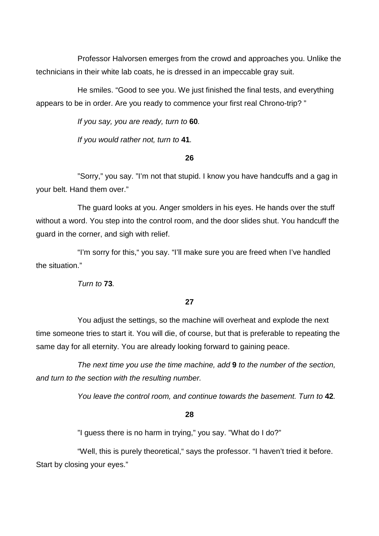Professor Halvorsen emerges from the crowd and approaches you. Unlike the technicians in their white lab coats, he is dressed in an impeccable gray suit.

 He smiles. "Good to see you. We just finished the final tests, and everything appears to be in order. Are you ready to commence your first real Chrono-trip? "

If you say, you are ready, turn to **60**.

If you would rather not, turn to **41**.

#### **26**

 "Sorry," you say. "I'm not that stupid. I know you have handcuffs and a gag in your belt. Hand them over."

 The guard looks at you. Anger smolders in his eyes. He hands over the stuff without a word. You step into the control room, and the door slides shut. You handcuff the guard in the corner, and sigh with relief.

 "I'm sorry for this," you say. "I'll make sure you are freed when I've handled the situation."

Turn to **73**.

# **27**

 You adjust the settings, so the machine will overheat and explode the next time someone tries to start it. You will die, of course, but that is preferable to repeating the same day for all eternity. You are already looking forward to gaining peace.

The next time you use the time machine, add **9** to the number of the section, and turn to the section with the resulting number.

You leave the control room, and continue towards the basement. Turn to **42**.

#### **28**

"I guess there is no harm in trying," you say. "What do I do?"

 "Well, this is purely theoretical," says the professor. "I haven't tried it before. Start by closing your eyes."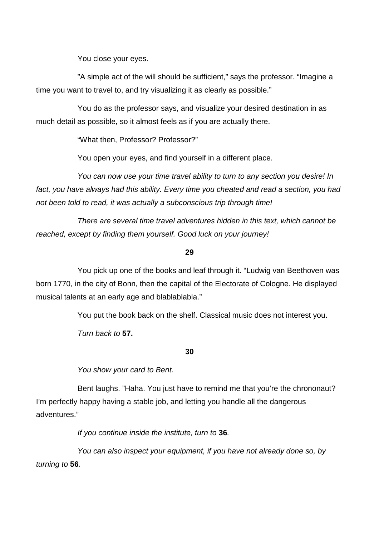You close your eyes.

 "A simple act of the will should be sufficient," says the professor. "Imagine a time you want to travel to, and try visualizing it as clearly as possible."

 You do as the professor says, and visualize your desired destination in as much detail as possible, so it almost feels as if you are actually there.

"What then, Professor? Professor?"

You open your eyes, and find yourself in a different place.

You can now use your time travel ability to turn to any section you desire! In fact, you have always had this ability. Every time you cheated and read a section, you had not been told to read, it was actually a subconscious trip through time!

 There are several time travel adventures hidden in this text, which cannot be reached, except by finding them yourself. Good luck on your journey!

#### **29**

You pick up one of the books and leaf through it. "Ludwig van Beethoven was born 1770, in the city of Bonn, then the capital of the Electorate of Cologne. He displayed musical talents at an early age and blablablabla."

You put the book back on the shelf. Classical music does not interest you.

Turn back to **57.** 

# **30**

You show your card to Bent.

Bent laughs. "Haha. You just have to remind me that you're the chrononaut? I'm perfectly happy having a stable job, and letting you handle all the dangerous adventures."

If you continue inside the institute, turn to **36**.

 You can also inspect your equipment, if you have not already done so, by turning to **56**.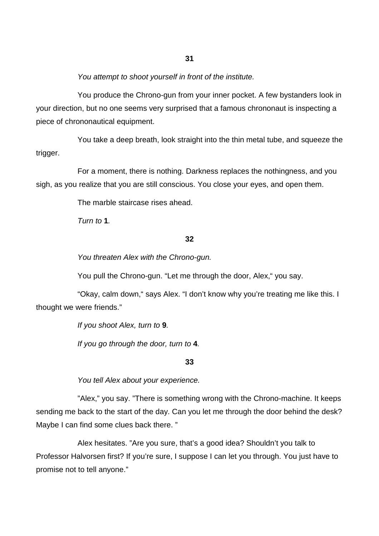You attempt to shoot yourself in front of the institute.

 You produce the Chrono-gun from your inner pocket. A few bystanders look in your direction, but no one seems very surprised that a famous chrononaut is inspecting a piece of chrononautical equipment.

 You take a deep breath, look straight into the thin metal tube, and squeeze the trigger.

 For a moment, there is nothing. Darkness replaces the nothingness, and you sigh, as you realize that you are still conscious. You close your eyes, and open them.

The marble staircase rises ahead.

 $T$ urn to **1** 

#### **32**

You threaten Alex with the Chrono-gun.

You pull the Chrono-gun. "Let me through the door, Alex," you say.

"Okay, calm down," says Alex. "I don't know why you're treating me like this. I thought we were friends."

> If you shoot Alex, turn to **9**. If you go through the door, turn to **4**.

> > **33**

You tell Alex about your experience.

 "Alex," you say. "There is something wrong with the Chrono-machine. It keeps sending me back to the start of the day. Can you let me through the door behind the desk? Maybe I can find some clues back there. "

 Alex hesitates. "Are you sure, that's a good idea? Shouldn't you talk to Professor Halvorsen first? If you're sure, I suppose I can let you through. You just have to promise not to tell anyone."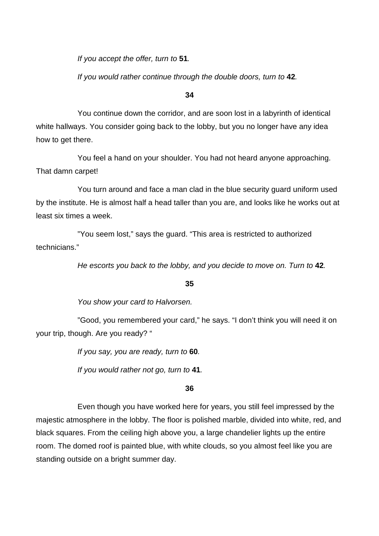If you accept the offer, turn to **51**.

If you would rather continue through the double doors, turn to **42**.

#### **34**

You continue down the corridor, and are soon lost in a labyrinth of identical white hallways. You consider going back to the lobby, but you no longer have any idea how to get there.

You feel a hand on your shoulder. You had not heard anyone approaching. That damn carpet!

You turn around and face a man clad in the blue security guard uniform used by the institute. He is almost half a head taller than you are, and looks like he works out at least six times a week.

"You seem lost," says the guard. "This area is restricted to authorized technicians."

He escorts you back to the lobby, and you decide to move on. Turn to **42**.

# **35**

You show your card to Halvorsen.

"Good, you remembered your card," he says. "I don't think you will need it on your trip, though. Are you ready? "

If you say, you are ready, turn to **60**.

If you would rather not go, turn to **41**.

# **36**

Even though you have worked here for years, you still feel impressed by the majestic atmosphere in the lobby. The floor is polished marble, divided into white, red, and black squares. From the ceiling high above you, a large chandelier lights up the entire room. The domed roof is painted blue, with white clouds, so you almost feel like you are standing outside on a bright summer day.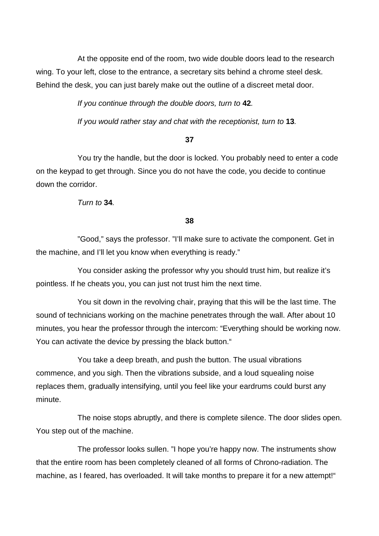At the opposite end of the room, two wide double doors lead to the research wing. To your left, close to the entrance, a secretary sits behind a chrome steel desk. Behind the desk, you can just barely make out the outline of a discreet metal door.

If you continue through the double doors, turn to **42**.

If you would rather stay and chat with the receptionist, turn to **13**.

# **37**

You try the handle, but the door is locked. You probably need to enter a code on the keypad to get through. Since you do not have the code, you decide to continue down the corridor.

Turn to **34**.

**38** 

"Good," says the professor. "I'll make sure to activate the component. Get in the machine, and I'll let you know when everything is ready."

You consider asking the professor why you should trust him, but realize it's pointless. If he cheats you, you can just not trust him the next time.

You sit down in the revolving chair, praying that this will be the last time. The sound of technicians working on the machine penetrates through the wall. After about 10 minutes, you hear the professor through the intercom: "Everything should be working now. You can activate the device by pressing the black button."

You take a deep breath, and push the button. The usual vibrations commence, and you sigh. Then the vibrations subside, and a loud squealing noise replaces them, gradually intensifying, until you feel like your eardrums could burst any minute.

The noise stops abruptly, and there is complete silence. The door slides open. You step out of the machine.

The professor looks sullen. "I hope you're happy now. The instruments show that the entire room has been completely cleaned of all forms of Chrono-radiation. The machine, as I feared, has overloaded. It will take months to prepare it for a new attempt!"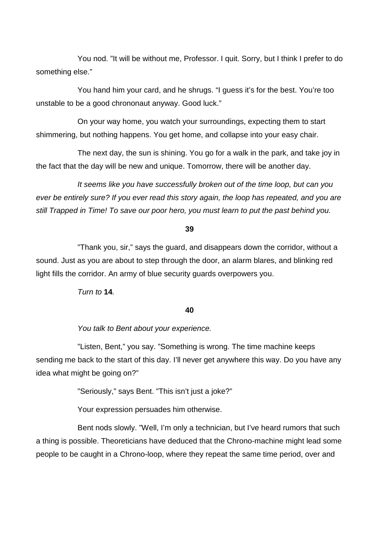You nod. "It will be without me, Professor. I quit. Sorry, but I think I prefer to do something else."

You hand him your card, and he shrugs. "I guess it's for the best. You're too unstable to be a good chrononaut anyway. Good luck."

On your way home, you watch your surroundings, expecting them to start shimmering, but nothing happens. You get home, and collapse into your easy chair.

The next day, the sun is shining. You go for a walk in the park, and take joy in the fact that the day will be new and unique. Tomorrow, there will be another day.

It seems like you have successfully broken out of the time loop, but can you ever be entirely sure? If you ever read this story again, the loop has repeated, and you are still Trapped in Time! To save our poor hero, you must learn to put the past behind you.

#### **39**

"Thank you, sir," says the guard, and disappears down the corridor, without a sound. Just as you are about to step through the door, an alarm blares, and blinking red light fills the corridor. An army of blue security guards overpowers you.

Turn to **14**.

#### **40**

You talk to Bent about your experience.

 "Listen, Bent," you say. "Something is wrong. The time machine keeps sending me back to the start of this day. I'll never get anywhere this way. Do you have any idea what might be going on?"

"Seriously," says Bent. "This isn't just a joke?"

Your expression persuades him otherwise.

 Bent nods slowly. "Well, I'm only a technician, but I've heard rumors that such a thing is possible. Theoreticians have deduced that the Chrono-machine might lead some people to be caught in a Chrono-loop, where they repeat the same time period, over and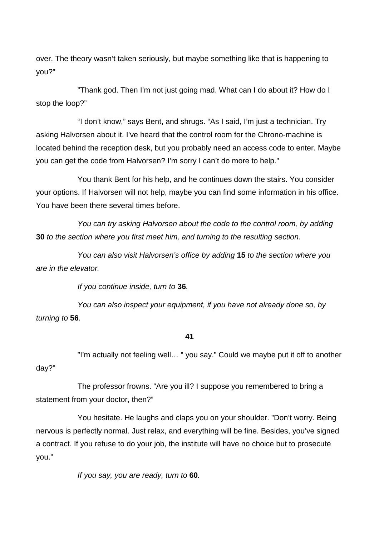over. The theory wasn't taken seriously, but maybe something like that is happening to you?"

 "Thank god. Then I'm not just going mad. What can I do about it? How do I stop the loop?"

 "I don't know," says Bent, and shrugs. "As I said, I'm just a technician. Try asking Halvorsen about it. I've heard that the control room for the Chrono-machine is located behind the reception desk, but you probably need an access code to enter. Maybe you can get the code from Halvorsen? I'm sorry I can't do more to help."

 You thank Bent for his help, and he continues down the stairs. You consider your options. If Halvorsen will not help, maybe you can find some information in his office. You have been there several times before.

You can try asking Halvorsen about the code to the control room, by adding **30** to the section where you first meet him, and turning to the resulting section.

 You can also visit Halvorsen's office by adding **15** to the section where you are in the elevator.

If you continue inside, turn to **36**.

 You can also inspect your equipment, if you have not already done so, by turning to **56**.

# **41**

"I'm actually not feeling well… " you say." Could we maybe put it off to another day?"

The professor frowns. "Are you ill? I suppose you remembered to bring a statement from your doctor, then?"

 You hesitate. He laughs and claps you on your shoulder. "Don't worry. Being nervous is perfectly normal. Just relax, and everything will be fine. Besides, you've signed a contract. If you refuse to do your job, the institute will have no choice but to prosecute you."

If you say, you are ready, turn to **60**.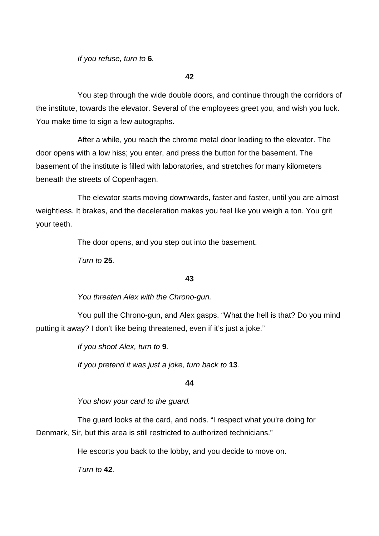If you refuse, turn to **6**.

**42** 

You step through the wide double doors, and continue through the corridors of the institute, towards the elevator. Several of the employees greet you, and wish you luck. You make time to sign a few autographs.

 After a while, you reach the chrome metal door leading to the elevator. The door opens with a low hiss; you enter, and press the button for the basement. The basement of the institute is filled with laboratories, and stretches for many kilometers beneath the streets of Copenhagen.

 The elevator starts moving downwards, faster and faster, until you are almost weightless. It brakes, and the deceleration makes you feel like you weigh a ton. You grit your teeth.

The door opens, and you step out into the basement.

Turn to **25**.

# **43**

You threaten Alex with the Chrono-gun.

You pull the Chrono-gun, and Alex gasps. "What the hell is that? Do you mind putting it away? I don't like being threatened, even if it's just a joke."

If you shoot Alex, turn to **9**.

If you pretend it was just a joke, turn back to **13**.

# **44**

You show your card to the guard.

The guard looks at the card, and nods. "I respect what you're doing for Denmark, Sir, but this area is still restricted to authorized technicians."

He escorts you back to the lobby, and you decide to move on.

Turn to **42**.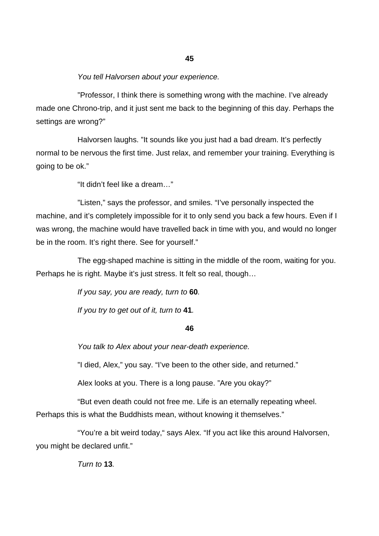#### You tell Halvorsen about your experience.

"Professor, I think there is something wrong with the machine. I've already made one Chrono-trip, and it just sent me back to the beginning of this day. Perhaps the settings are wrong?"

Halvorsen laughs. "It sounds like you just had a bad dream. It's perfectly normal to be nervous the first time. Just relax, and remember your training. Everything is going to be ok."

"It didn't feel like a dream…"

 "Listen," says the professor, and smiles. "I've personally inspected the machine, and it's completely impossible for it to only send you back a few hours. Even if I was wrong, the machine would have travelled back in time with you, and would no longer be in the room. It's right there. See for yourself."

 The egg-shaped machine is sitting in the middle of the room, waiting for you. Perhaps he is right. Maybe it's just stress. It felt so real, though…

If you say, you are ready, turn to **60**.

If you try to get out of it, turn to **41**.

#### **46**

You talk to Alex about your near-death experience.

"I died, Alex," you say. "I've been to the other side, and returned."

Alex looks at you. There is a long pause. "Are you okay?"

"But even death could not free me. Life is an eternally repeating wheel. Perhaps this is what the Buddhists mean, without knowing it themselves."

 "You're a bit weird today," says Alex. "If you act like this around Halvorsen, you might be declared unfit."

Turn to **13**.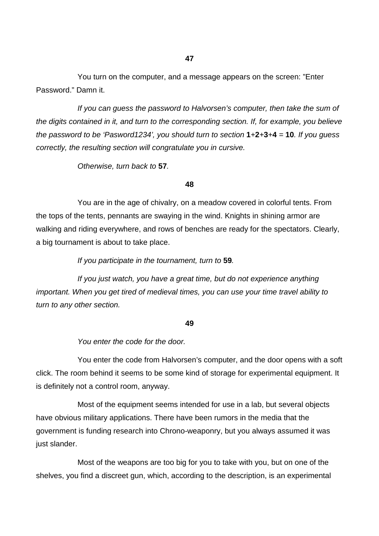You turn on the computer, and a message appears on the screen: "Enter Password." Damn it.

If you can guess the password to Halvorsen's computer, then take the sum of the digits contained in it, and turn to the corresponding section. If, for example, you believe the password to be 'Pasword1234', you should turn to section **1**+**2**+**3**+**4** = **10**. If you guess correctly, the resulting section will congratulate you in cursive.

Otherwise, turn back to **57**.

**48** 

 You are in the age of chivalry, on a meadow covered in colorful tents. From the tops of the tents, pennants are swaying in the wind. Knights in shining armor are walking and riding everywhere, and rows of benches are ready for the spectators. Clearly, a big tournament is about to take place.

If you participate in the tournament, turn to **59**.

 If you just watch, you have a great time, but do not experience anything important. When you get tired of medieval times, you can use your time travel ability to turn to any other section.

#### **49**

You enter the code for the door.

You enter the code from Halvorsen's computer, and the door opens with a soft click. The room behind it seems to be some kind of storage for experimental equipment. It is definitely not a control room, anyway.

Most of the equipment seems intended for use in a lab, but several objects have obvious military applications. There have been rumors in the media that the government is funding research into Chrono-weaponry, but you always assumed it was just slander.

Most of the weapons are too big for you to take with you, but on one of the shelves, you find a discreet gun, which, according to the description, is an experimental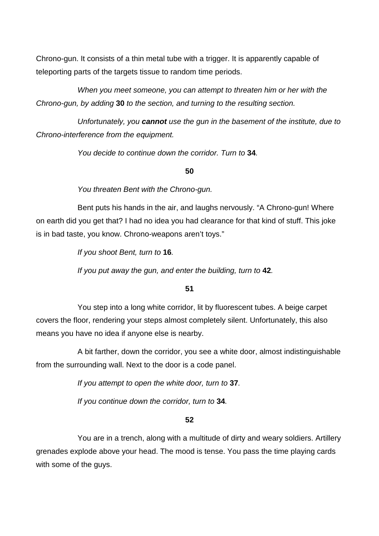Chrono-gun. It consists of a thin metal tube with a trigger. It is apparently capable of teleporting parts of the targets tissue to random time periods.

When you meet someone, you can attempt to threaten him or her with the Chrono-gun, by adding **30** to the section, and turning to the resulting section.

Unfortunately, you **cannot** use the gun in the basement of the institute, due to Chrono-interference from the equipment.

You decide to continue down the corridor. Turn to **34**.

# **50**

You threaten Bent with the Chrono-gun.

Bent puts his hands in the air, and laughs nervously. "A Chrono-gun! Where on earth did you get that? I had no idea you had clearance for that kind of stuff. This joke is in bad taste, you know. Chrono-weapons aren't toys."

If you shoot Bent, turn to **16**.

If you put away the gun, and enter the building, turn to **42**.

**51** 

You step into a long white corridor, lit by fluorescent tubes. A beige carpet covers the floor, rendering your steps almost completely silent. Unfortunately, this also means you have no idea if anyone else is nearby.

 A bit farther, down the corridor, you see a white door, almost indistinguishable from the surrounding wall. Next to the door is a code panel.

If you attempt to open the white door, turn to **37**.

If you continue down the corridor, turn to **34**.

# **52**

You are in a trench, along with a multitude of dirty and weary soldiers. Artillery grenades explode above your head. The mood is tense. You pass the time playing cards with some of the guys.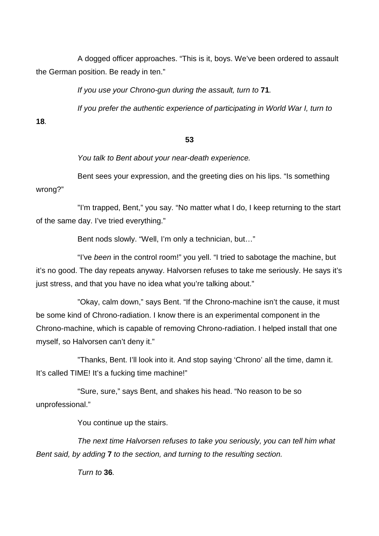A dogged officer approaches. "This is it, boys. We've been ordered to assault the German position. Be ready in ten."

If you use your Chrono-gun during the assault, turn to **71**.

If you prefer the authentic experience of participating in World War I, turn to

**18**.

# **53**

You talk to Bent about your near-death experience.

Bent sees your expression, and the greeting dies on his lips. "Is something wrong?"

 "I'm trapped, Bent," you say. "No matter what I do, I keep returning to the start of the same day. I've tried everything."

Bent nods slowly. "Well, I'm only a technician, but…"

 "I've been in the control room!" you yell. "I tried to sabotage the machine, but it's no good. The day repeats anyway. Halvorsen refuses to take me seriously. He says it's just stress, and that you have no idea what you're talking about."

 "Okay, calm down," says Bent. "If the Chrono-machine isn't the cause, it must be some kind of Chrono-radiation. I know there is an experimental component in the Chrono-machine, which is capable of removing Chrono-radiation. I helped install that one myself, so Halvorsen can't deny it."

 "Thanks, Bent. I'll look into it. And stop saying 'Chrono' all the time, damn it. It's called TIME! It's a fucking time machine!"

 "Sure, sure," says Bent, and shakes his head. "No reason to be so unprofessional."

You continue up the stairs.

 The next time Halvorsen refuses to take you seriously, you can tell him what Bent said, by adding **7** to the section, and turning to the resulting section.

Turn to **36**.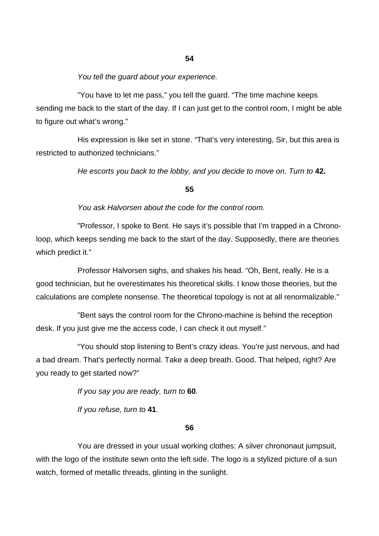# You tell the guard about your experience.

"You have to let me pass," you tell the guard. "The time machine keeps sending me back to the start of the day. If I can just get to the control room, I might be able to figure out what's wrong."

 His expression is like set in stone. "That's very interesting, Sir, but this area is restricted to authorized technicians."

He escorts you back to the lobby, and you decide to move on. Turn to **42.**

# **55**

# You ask Halvorsen about the code for the control room.

 "Professor, I spoke to Bent. He says it's possible that I'm trapped in a Chronoloop, which keeps sending me back to the start of the day. Supposedly, there are theories which predict it."

 Professor Halvorsen sighs, and shakes his head. "Oh, Bent, really. He is a good technician, but he overestimates his theoretical skills. I know those theories, but the calculations are complete nonsense. The theoretical topology is not at all renormalizable."

 "Bent says the control room for the Chrono-machine is behind the reception desk. If you just give me the access code, I can check it out myself."

 "You should stop listening to Bent's crazy ideas. You're just nervous, and had a bad dream. That's perfectly normal. Take a deep breath. Good. That helped, right? Are you ready to get started now?"

If you say you are ready, turn to **60**.

If you refuse, turn to **41**.

#### **56**

You are dressed in your usual working clothes: A silver chrononaut jumpsuit, with the logo of the institute sewn onto the left side. The logo is a stylized picture of a sun watch, formed of metallic threads, glinting in the sunlight.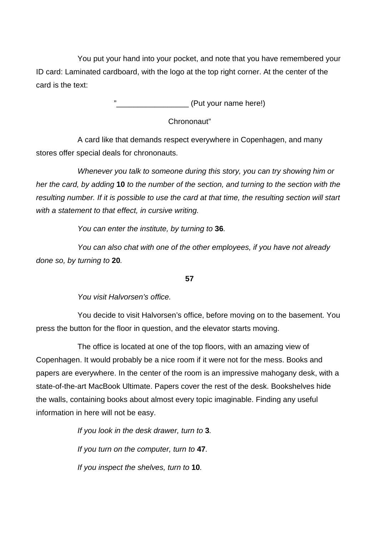You put your hand into your pocket, and note that you have remembered your ID card: Laminated cardboard, with the logo at the top right corner. At the center of the card is the text:

 $(Put your name here!)$ 

Chrononaut"

A card like that demands respect everywhere in Copenhagen, and many stores offer special deals for chrononauts.

Whenever you talk to someone during this story, you can try showing him or her the card, by adding **10** to the number of the section, and turning to the section with the resulting number. If it is possible to use the card at that time, the resulting section will start with a statement to that effect, in cursive writing.

You can enter the institute, by turning to **36**.

 You can also chat with one of the other employees, if you have not already done so, by turning to **20**.

**57** 

You visit Halvorsen's office.

You decide to visit Halvorsen's office, before moving on to the basement. You press the button for the floor in question, and the elevator starts moving.

 The office is located at one of the top floors, with an amazing view of Copenhagen. It would probably be a nice room if it were not for the mess. Books and papers are everywhere. In the center of the room is an impressive mahogany desk, with a state-of-the-art MacBook Ultimate. Papers cover the rest of the desk. Bookshelves hide the walls, containing books about almost every topic imaginable. Finding any useful information in here will not be easy.

> If you look in the desk drawer, turn to **3**. If you turn on the computer, turn to **47**. If you inspect the shelves, turn to **10**.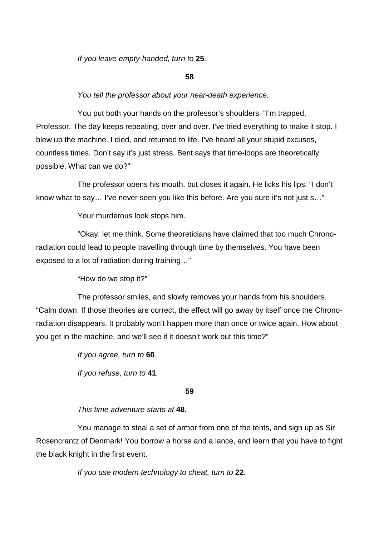If you leave empty-handed, turn to **25**.

# **58**

# You tell the professor about your near-death experience.

 You put both your hands on the professor's shoulders. "I'm trapped, Professor. The day keeps repeating, over and over. I've tried everything to make it stop. I blew up the machine. I died, and returned to life. I've heard all your stupid excuses, countless times. Don't say it's just stress. Bent says that time-loops are theoretically possible. What can we do?"

 The professor opens his mouth, but closes it again. He licks his lips. "I don't know what to say… I've never seen you like this before. Are you sure it's not just s…"

Your murderous look stops him.

 "Okay, let me think. Some theoreticians have claimed that too much Chronoradiation could lead to people travelling through time by themselves. You have been exposed to a lot of radiation during training…"

"How do we stop it?"

 The professor smiles, and slowly removes your hands from his shoulders. "Calm down. If those theories are correct, the effect will go away by itself once the Chronoradiation disappears. It probably won't happen more than once or twice again. How about you get in the machine, and we'll see if it doesn't work out this time?"

> If you agree, turn to **60**. If you refuse, turn to **41**.

# **59**

This time adventure starts at **48**.

You manage to steal a set of armor from one of the tents, and sign up as Sir Rosencrantz of Denmark! You borrow a horse and a lance, and learn that you have to fight the black knight in the first event.

If you use modern technology to cheat, turn to **22**.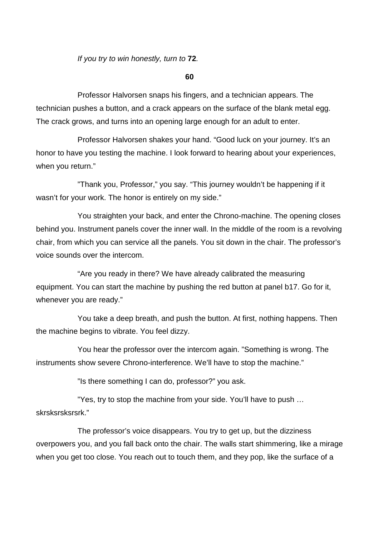If you try to win honestly, turn to **72**.

**60** 

 Professor Halvorsen snaps his fingers, and a technician appears. The technician pushes a button, and a crack appears on the surface of the blank metal egg. The crack grows, and turns into an opening large enough for an adult to enter.

 Professor Halvorsen shakes your hand. "Good luck on your journey. It's an honor to have you testing the machine. I look forward to hearing about your experiences, when you return."

 "Thank you, Professor," you say. "This journey wouldn't be happening if it wasn't for your work. The honor is entirely on my side."

 You straighten your back, and enter the Chrono-machine. The opening closes behind you. Instrument panels cover the inner wall. In the middle of the room is a revolving chair, from which you can service all the panels. You sit down in the chair. The professor's voice sounds over the intercom.

 "Are you ready in there? We have already calibrated the measuring equipment. You can start the machine by pushing the red button at panel b17. Go for it, whenever you are ready."

 You take a deep breath, and push the button. At first, nothing happens. Then the machine begins to vibrate. You feel dizzy.

 You hear the professor over the intercom again. "Something is wrong. The instruments show severe Chrono-interference. We'll have to stop the machine."

"Is there something I can do, professor?" you ask.

 "Yes, try to stop the machine from your side. You'll have to push … skrsksrsksrsrk."

 The professor's voice disappears. You try to get up, but the dizziness overpowers you, and you fall back onto the chair. The walls start shimmering, like a mirage when you get too close. You reach out to touch them, and they pop, like the surface of a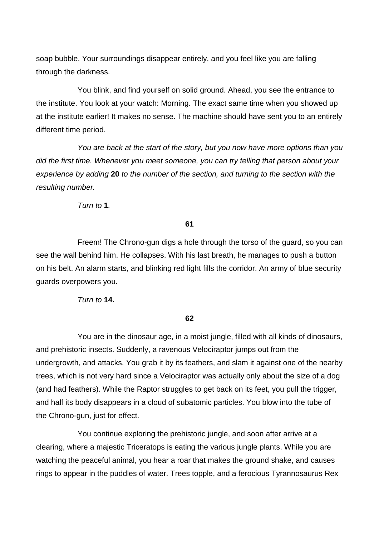soap bubble. Your surroundings disappear entirely, and you feel like you are falling through the darkness.

 You blink, and find yourself on solid ground. Ahead, you see the entrance to the institute. You look at your watch: Morning. The exact same time when you showed up at the institute earlier! It makes no sense. The machine should have sent you to an entirely different time period.

 You are back at the start of the story, but you now have more options than you did the first time. Whenever you meet someone, you can try telling that person about your experience by adding **20** to the number of the section, and turning to the section with the resulting number.

Turn to **1**.

#### **61**

Freem! The Chrono-gun digs a hole through the torso of the guard, so you can see the wall behind him. He collapses. With his last breath, he manages to push a button on his belt. An alarm starts, and blinking red light fills the corridor. An army of blue security guards overpowers you.

Turn to **14.**

# **62**

You are in the dinosaur age, in a moist jungle, filled with all kinds of dinosaurs, and prehistoric insects. Suddenly, a ravenous Velociraptor jumps out from the undergrowth, and attacks. You grab it by its feathers, and slam it against one of the nearby trees, which is not very hard since a Velociraptor was actually only about the size of a dog (and had feathers). While the Raptor struggles to get back on its feet, you pull the trigger, and half its body disappears in a cloud of subatomic particles. You blow into the tube of the Chrono-gun, just for effect.

You continue exploring the prehistoric jungle, and soon after arrive at a clearing, where a majestic Triceratops is eating the various jungle plants. While you are watching the peaceful animal, you hear a roar that makes the ground shake, and causes rings to appear in the puddles of water. Trees topple, and a ferocious Tyrannosaurus Rex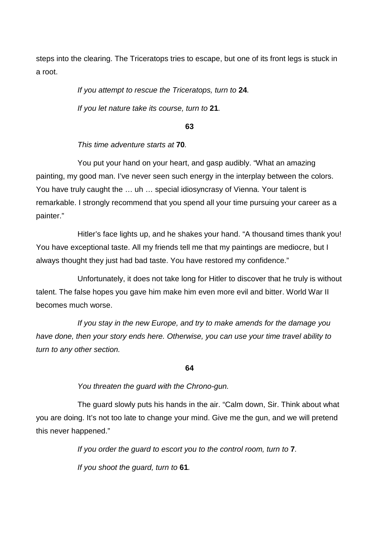steps into the clearing. The Triceratops tries to escape, but one of its front legs is stuck in a root.

> If you attempt to rescue the Triceratops, turn to **24**. If you let nature take its course, turn to **21**.

> > **63**

This time adventure starts at **70**.

 You put your hand on your heart, and gasp audibly. "What an amazing painting, my good man. I've never seen such energy in the interplay between the colors. You have truly caught the … uh … special idiosyncrasy of Vienna. Your talent is remarkable. I strongly recommend that you spend all your time pursuing your career as a painter."

 Hitler's face lights up, and he shakes your hand. "A thousand times thank you! You have exceptional taste. All my friends tell me that my paintings are mediocre, but I always thought they just had bad taste. You have restored my confidence."

 Unfortunately, it does not take long for Hitler to discover that he truly is without talent. The false hopes you gave him make him even more evil and bitter. World War II becomes much worse.

If you stay in the new Europe, and try to make amends for the damage you have done, then your story ends here. Otherwise, you can use your time travel ability to turn to any other section.

**64** 

You threaten the guard with the Chrono-gun.

 The guard slowly puts his hands in the air. "Calm down, Sir. Think about what you are doing. It's not too late to change your mind. Give me the gun, and we will pretend this never happened."

If you order the guard to escort you to the control room, turn to **7**.

If you shoot the guard, turn to **61**.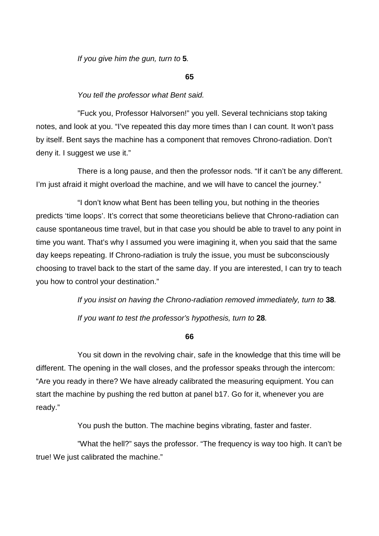If you give him the gun, turn to **5**.

#### **65**

# You tell the professor what Bent said.

"Fuck you, Professor Halvorsen!" you yell. Several technicians stop taking notes, and look at you. "I've repeated this day more times than I can count. It won't pass by itself. Bent says the machine has a component that removes Chrono-radiation. Don't deny it. I suggest we use it."

There is a long pause, and then the professor nods. "If it can't be any different. I'm just afraid it might overload the machine, and we will have to cancel the journey."

"I don't know what Bent has been telling you, but nothing in the theories predicts 'time loops'. It's correct that some theoreticians believe that Chrono-radiation can cause spontaneous time travel, but in that case you should be able to travel to any point in time you want. That's why I assumed you were imagining it, when you said that the same day keeps repeating. If Chrono-radiation is truly the issue, you must be subconsciously choosing to travel back to the start of the same day. If you are interested, I can try to teach you how to control your destination."

If you insist on having the Chrono-radiation removed immediately, turn to **38**.

If you want to test the professor's hypothesis, turn to **28**.

**66** 

 You sit down in the revolving chair, safe in the knowledge that this time will be different. The opening in the wall closes, and the professor speaks through the intercom: "Are you ready in there? We have already calibrated the measuring equipment. You can start the machine by pushing the red button at panel b17. Go for it, whenever you are ready."

You push the button. The machine begins vibrating, faster and faster.

 "What the hell?" says the professor. "The frequency is way too high. It can't be true! We just calibrated the machine."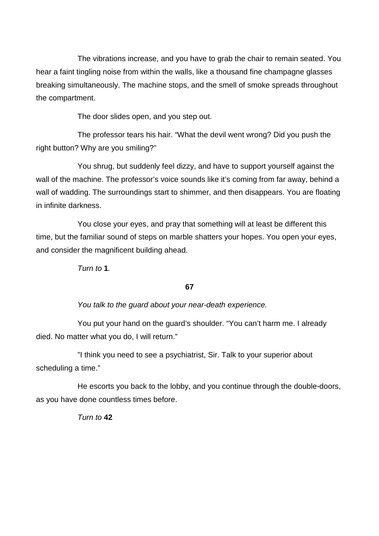The vibrations increase, and you have to grab the chair to remain seated. You hear a faint tingling noise from within the walls, like a thousand fine champagne glasses breaking simultaneously. The machine stops, and the smell of smoke spreads throughout the compartment.

The door slides open, and you step out.

 The professor tears his hair. "What the devil went wrong? Did you push the right button? Why are you smiling?"

 You shrug, but suddenly feel dizzy, and have to support yourself against the wall of the machine. The professor's voice sounds like it's coming from far away, behind a wall of wadding. The surroundings start to shimmer, and then disappears. You are floating in infinite darkness.

 You close your eyes, and pray that something will at least be different this time, but the familiar sound of steps on marble shatters your hopes. You open your eyes, and consider the magnificent building ahead.

Turn to  $1$ .

# **67**

You talk to the guard about your near-death experience.

 You put your hand on the guard's shoulder. "You can't harm me. I already died. No matter what you do, I will return."

 "I think you need to see a psychiatrist, Sir. Talk to your superior about scheduling a time."

He escorts you back to the lobby, and you continue through the double-doors, as you have done countless times before.

Turn to **42**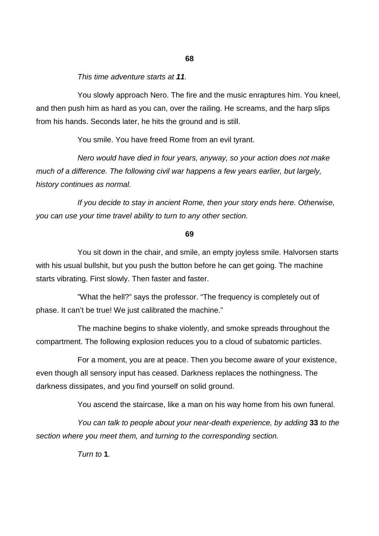#### This time adventure starts at **11**.

You slowly approach Nero. The fire and the music enraptures him. You kneel, and then push him as hard as you can, over the railing. He screams, and the harp slips from his hands. Seconds later, he hits the ground and is still.

You smile. You have freed Rome from an evil tyrant.

Nero would have died in four years, anyway, so your action does not make much of a difference. The following civil war happens a few years earlier, but largely, history continues as normal.

 If you decide to stay in ancient Rome, then your story ends here. Otherwise, you can use your time travel ability to turn to any other section.

#### **69**

 You sit down in the chair, and smile, an empty joyless smile. Halvorsen starts with his usual bullshit, but you push the button before he can get going. The machine starts vibrating. First slowly. Then faster and faster.

"What the hell?" says the professor. "The frequency is completely out of phase. It can't be true! We just calibrated the machine."

The machine begins to shake violently, and smoke spreads throughout the compartment. The following explosion reduces you to a cloud of subatomic particles.

For a moment, you are at peace. Then you become aware of your existence, even though all sensory input has ceased. Darkness replaces the nothingness. The darkness dissipates, and you find yourself on solid ground.

You ascend the staircase, like a man on his way home from his own funeral.

You can talk to people about your near-death experience, by adding **33** to the section where you meet them, and turning to the corresponding section.

Turn to **1**.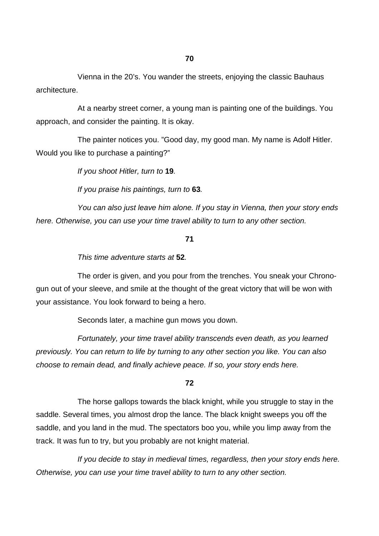Vienna in the 20's. You wander the streets, enjoying the classic Bauhaus architecture.

At a nearby street corner, a young man is painting one of the buildings. You approach, and consider the painting. It is okay.

The painter notices you. "Good day, my good man. My name is Adolf Hitler. Would you like to purchase a painting?"

If you shoot Hitler, turn to **19**.

If you praise his paintings, turn to **63**.

You can also just leave him alone. If you stay in Vienna, then your story ends here. Otherwise, you can use your time travel ability to turn to any other section.

#### **71**

This time adventure starts at **52**.

The order is given, and you pour from the trenches. You sneak your Chronogun out of your sleeve, and smile at the thought of the great victory that will be won with your assistance. You look forward to being a hero.

Seconds later, a machine gun mows you down.

Fortunately, your time travel ability transcends even death, as you learned previously. You can return to life by turning to any other section you like. You can also choose to remain dead, and finally achieve peace. If so, your story ends here.

# **72**

The horse gallops towards the black knight, while you struggle to stay in the saddle. Several times, you almost drop the lance. The black knight sweeps you off the saddle, and you land in the mud. The spectators boo you, while you limp away from the track. It was fun to try, but you probably are not knight material.

If you decide to stay in medieval times, regardless, then your story ends here. Otherwise, you can use your time travel ability to turn to any other section.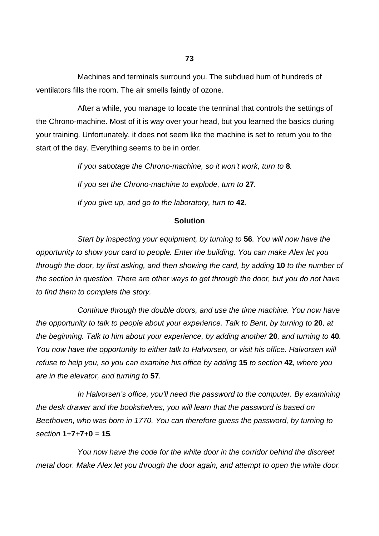Machines and terminals surround you. The subdued hum of hundreds of ventilators fills the room. The air smells faintly of ozone.

After a while, you manage to locate the terminal that controls the settings of the Chrono-machine. Most of it is way over your head, but you learned the basics during your training. Unfortunately, it does not seem like the machine is set to return you to the start of the day. Everything seems to be in order.

If you sabotage the Chrono-machine, so it won't work, turn to **8**.

If you set the Chrono-machine to explode, turn to **27**.

If you give up, and go to the laboratory, turn to **42**.

# **Solution**

Start by inspecting your equipment, by turning to **56**. You will now have the opportunity to show your card to people. Enter the building. You can make Alex let you through the door, by first asking, and then showing the card, by adding **10** to the number of the section in question. There are other ways to get through the door, but you do not have to find them to complete the story.

Continue through the double doors, and use the time machine. You now have the opportunity to talk to people about your experience. Talk to Bent, by turning to **20**, at the beginning. Talk to him about your experience, by adding another **20**, and turning to **40**. You now have the opportunity to either talk to Halvorsen, or visit his office. Halvorsen will refuse to help you, so you can examine his office by adding **15** to section **42**, where you are in the elevator, and turning to **57**.

In Halvorsen's office, you'll need the password to the computer. By examining the desk drawer and the bookshelves, you will learn that the password is based on Beethoven, who was born in 1770. You can therefore guess the password, by turning to section **1**+**7**+**7**+**0** = **15**.

You now have the code for the white door in the corridor behind the discreet metal door. Make Alex let you through the door again, and attempt to open the white door.